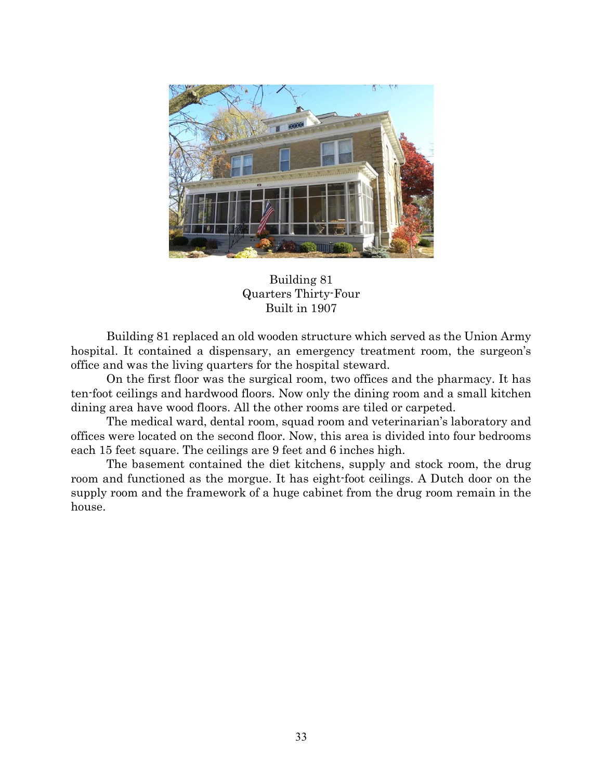



Building 81 replaced an old wooden structure which served as the Union Army hospital. It contained a dispensary, an emergency treatment room, the surgeon's office and was the living quarters for the hospital steward.

 On the first floor was the surgical room, two offices and the pharmacy. It has ten-foot ceilings and hardwood floors. Now only the dining room and a small kitchen dining area have wood floors. All the other rooms are tiled or carpeted.

 The medical ward, dental room, squad room and veterinarian's laboratory and offices were located on the second floor. Now, this area is divided into four bedrooms each 15 feet square. The ceilings are 9 feet and 6 inches high.

The basement contained the diet kitchens, supply and stock room, the drug room and functioned as the morgue. It has eight-foot ceilings. A Dutch door on the supply room and the framework of a huge cabinet from the drug room remain in the house.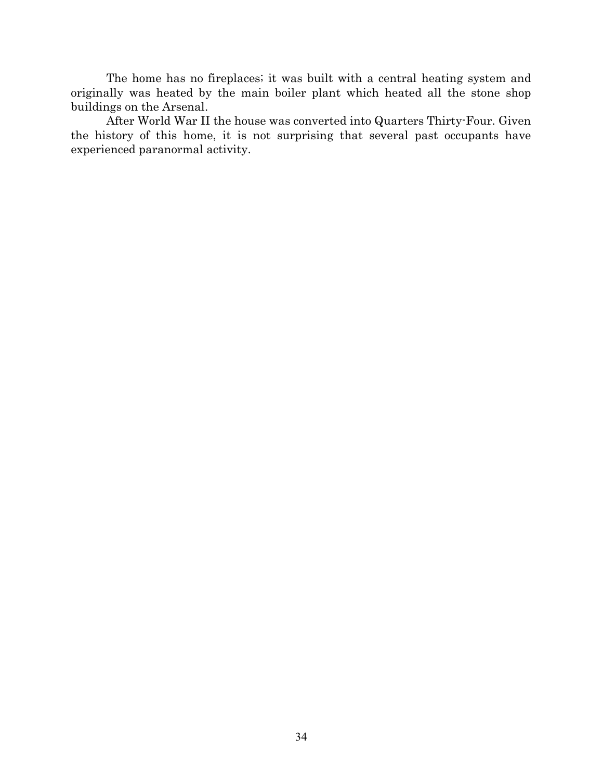The home has no fireplaces; it was built with a central heating system and originally was heated by the main boiler plant which heated all the stone shop buildings on the Arsenal.

 After World War II the house was converted into Quarters Thirty-Four. Given the history of this home, it is not surprising that several past occupants have experienced paranormal activity.